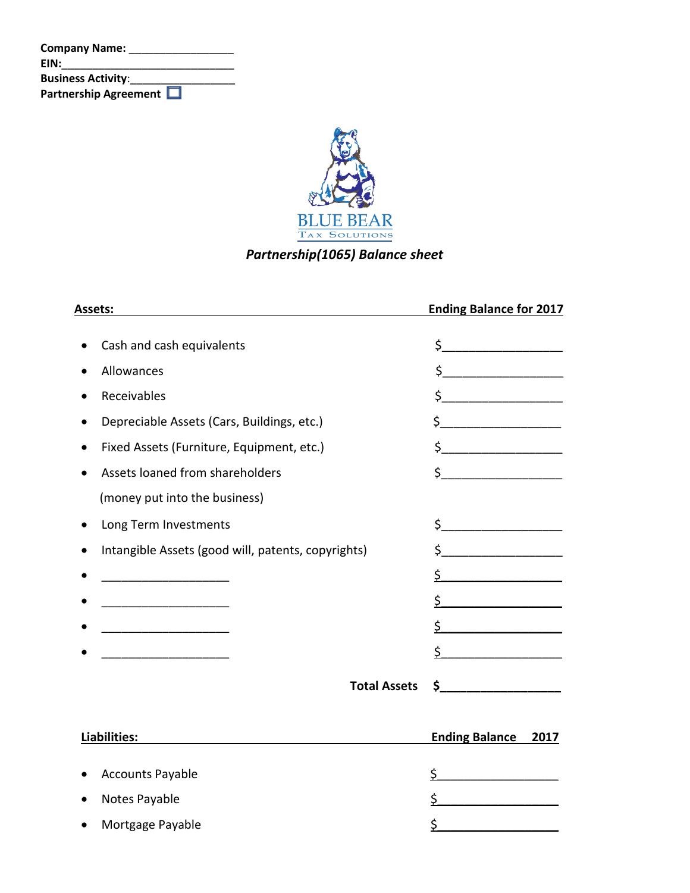| <b>Company Name:</b>      |  |
|---------------------------|--|
| EIN:                      |  |
| <b>Business Activity:</b> |  |
| Partnership Agreement     |  |



## *Partnership(1065) Balance sheet*

| Assets:                                                         | <b>Ending Balance for 2017</b>                                                                                                                                                                                                                                                                                                                                                                                                       |
|-----------------------------------------------------------------|--------------------------------------------------------------------------------------------------------------------------------------------------------------------------------------------------------------------------------------------------------------------------------------------------------------------------------------------------------------------------------------------------------------------------------------|
| Cash and cash equivalents                                       | $\frac{1}{2}$                                                                                                                                                                                                                                                                                                                                                                                                                        |
| Allowances<br>$\bullet$                                         | $\begin{picture}(20,10) \put(0,0){\line(1,0){10}} \put(15,0){\line(1,0){10}} \put(15,0){\line(1,0){10}} \put(15,0){\line(1,0){10}} \put(15,0){\line(1,0){10}} \put(15,0){\line(1,0){10}} \put(15,0){\line(1,0){10}} \put(15,0){\line(1,0){10}} \put(15,0){\line(1,0){10}} \put(15,0){\line(1,0){10}} \put(15,0){\line(1,0){10}} \put(15,0){\line(1$                                                                                  |
| Receivables                                                     | $\frac{1}{2}$                                                                                                                                                                                                                                                                                                                                                                                                                        |
| Depreciable Assets (Cars, Buildings, etc.)<br>$\bullet$         | $\begin{picture}(20,10) \put(0,0){\line(1,0){10}} \put(15,0){\line(1,0){10}} \put(15,0){\line(1,0){10}} \put(15,0){\line(1,0){10}} \put(15,0){\line(1,0){10}} \put(15,0){\line(1,0){10}} \put(15,0){\line(1,0){10}} \put(15,0){\line(1,0){10}} \put(15,0){\line(1,0){10}} \put(15,0){\line(1,0){10}} \put(15,0){\line(1,0){10}} \put(15,0){\line(1$                                                                                  |
| Fixed Assets (Furniture, Equipment, etc.)<br>$\bullet$          | $\frac{1}{2}$                                                                                                                                                                                                                                                                                                                                                                                                                        |
| Assets loaned from shareholders<br>$\bullet$                    | $\frac{1}{2}$                                                                                                                                                                                                                                                                                                                                                                                                                        |
| (money put into the business)                                   |                                                                                                                                                                                                                                                                                                                                                                                                                                      |
| Long Term Investments<br>$\bullet$                              | $\begin{array}{ccccccccccccc} \texttt{S} & \texttt{p} & \texttt{p} & \texttt{p} & \texttt{p} & \texttt{p} & \texttt{p} & \texttt{p} & \texttt{p} & \texttt{p} & \texttt{p} & \texttt{p} & \texttt{p} & \texttt{p} & \texttt{p} & \texttt{p} & \texttt{p} & \texttt{p} & \texttt{p} & \texttt{p} & \texttt{p} & \texttt{p} & \texttt{p} & \texttt{p} & \texttt{p} & \texttt{p} & \texttt{p} & \texttt{p} & \texttt{p} & \texttt{p} &$ |
| Intangible Assets (good will, patents, copyrights)<br>$\bullet$ | \$                                                                                                                                                                                                                                                                                                                                                                                                                                   |
|                                                                 | \$                                                                                                                                                                                                                                                                                                                                                                                                                                   |
|                                                                 | Ś.                                                                                                                                                                                                                                                                                                                                                                                                                                   |
|                                                                 | $\sim$ $\sim$                                                                                                                                                                                                                                                                                                                                                                                                                        |
|                                                                 | \$                                                                                                                                                                                                                                                                                                                                                                                                                                   |
| <b>Total Assets</b>                                             | $\mathsf{\$}$ $\qquad$                                                                                                                                                                                                                                                                                                                                                                                                               |
|                                                                 |                                                                                                                                                                                                                                                                                                                                                                                                                                      |
| Liabilities:                                                    | <b>Ending Balance</b><br>2017                                                                                                                                                                                                                                                                                                                                                                                                        |
| <b>Accounts Payable</b>                                         | \$                                                                                                                                                                                                                                                                                                                                                                                                                                   |
| Notes Payable                                                   | \$                                                                                                                                                                                                                                                                                                                                                                                                                                   |
| Mortgage Payable                                                | \$                                                                                                                                                                                                                                                                                                                                                                                                                                   |
|                                                                 |                                                                                                                                                                                                                                                                                                                                                                                                                                      |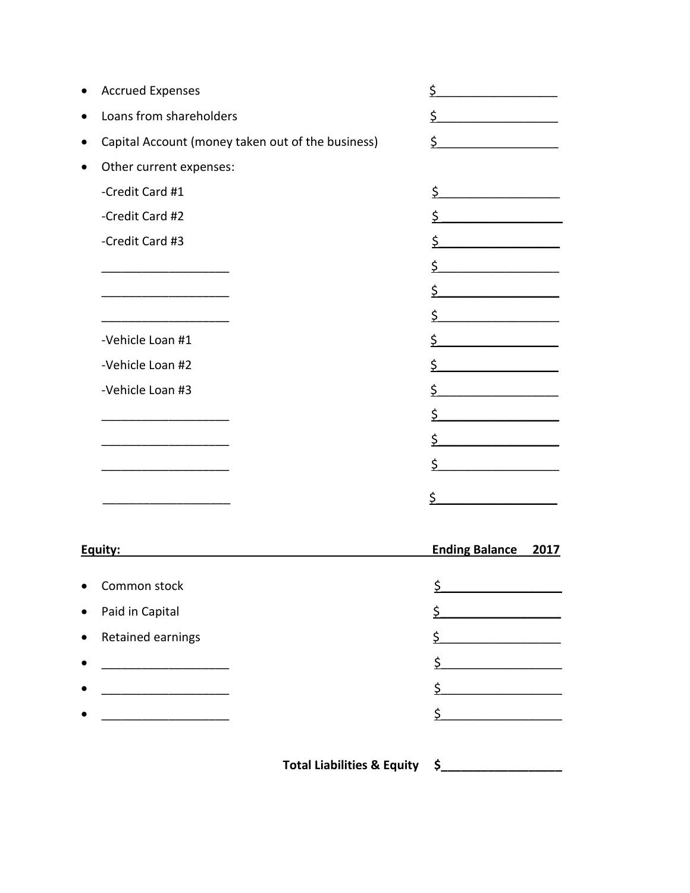| <b>Accrued Expenses</b>                           | \$                            |
|---------------------------------------------------|-------------------------------|
| Loans from shareholders                           | \$                            |
| Capital Account (money taken out of the business) | \$                            |
| Other current expenses:                           |                               |
| -Credit Card #1                                   | \$                            |
| -Credit Card #2                                   | \$                            |
| -Credit Card #3                                   | \$                            |
|                                                   | \$                            |
|                                                   | \$                            |
|                                                   | \$                            |
| -Vehicle Loan #1                                  | \$                            |
| -Vehicle Loan #2                                  | \$                            |
| -Vehicle Loan #3                                  | \$                            |
|                                                   | \$                            |
|                                                   | \$                            |
|                                                   | \$                            |
|                                                   | \$                            |
|                                                   |                               |
| Equity:                                           | <b>Ending Balance</b><br>2017 |
| Common stock                                      | \$                            |
| Paid in Capital                                   | \$                            |
| Retained earnings                                 | \$                            |
|                                                   | \$                            |
|                                                   | \$                            |
|                                                   |                               |

Total Liabilities & Equity \$\_\_\_\_\_\_\_\_\_\_\_\_\_\_\_\_\_\_\_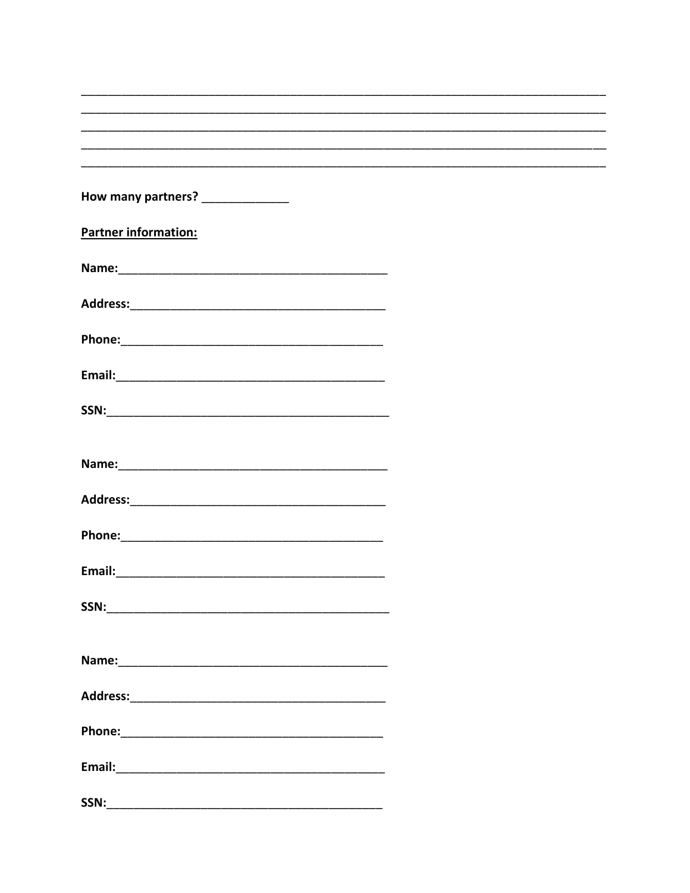| How many partners? ______________ |  |
|-----------------------------------|--|
|                                   |  |
| <b>Partner information:</b>       |  |
|                                   |  |
|                                   |  |
|                                   |  |
|                                   |  |
|                                   |  |
|                                   |  |
|                                   |  |
|                                   |  |
|                                   |  |
|                                   |  |
|                                   |  |
|                                   |  |
|                                   |  |
|                                   |  |
|                                   |  |
|                                   |  |
|                                   |  |
|                                   |  |
|                                   |  |
|                                   |  |
|                                   |  |
|                                   |  |
|                                   |  |
|                                   |  |
| SSN: Andrew SSN (1999)            |  |